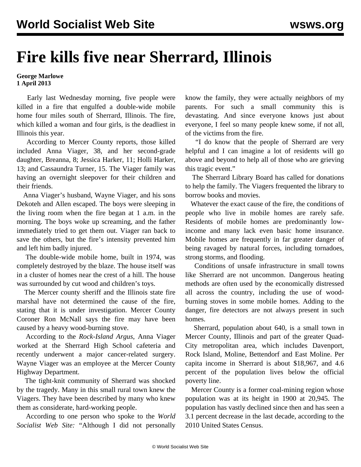## **Fire kills five near Sherrard, Illinois**

## **George Marlowe 1 April 2013**

 Early last Wednesday morning, five people were killed in a fire that engulfed a double-wide mobile home four miles south of Sherrard, Illinois. The fire, which killed a woman and four girls, is the deadliest in Illinois this year.

 According to Mercer County reports, those killed included Anna Viager, 38, and her second-grade daughter, Breanna, 8; Jessica Harker, 11; Holli Harker, 13; and Cassaundra Turner, 15. The Viager family was having an overnight sleepover for their children and their friends.

 Anna Viager's husband, Wayne Viager, and his sons Dekoteh and Allen escaped. The boys were sleeping in the living room when the fire began at 1 a.m. in the morning. The boys woke up screaming, and the father immediately tried to get them out. Viager ran back to save the others, but the fire's intensity prevented him and left him badly injured.

 The double-wide mobile home, built in 1974, was completely destroyed by the blaze. The house itself was in a cluster of homes near the crest of a hill. The house was surrounded by cut wood and children's toys.

 The Mercer county sheriff and the Illinois state fire marshal have not determined the cause of the fire, stating that it is under investigation. Mercer County Coroner Ron McNall says the fire may have been caused by a heavy wood-burning stove.

 According to the *Rock-Island Argus*, Anna Viager worked at the Sherrard High School cafeteria and recently underwent a major cancer-related surgery. Wayne Viager was an employee at the Mercer County Highway Department.

 The tight-knit community of Sherrard was shocked by the tragedy. Many in this small rural town knew the Viagers. They have been described by many who knew them as considerate, hard-working people.

 According to one person who spoke to the *World Socialist Web Site:* "Although I did not personally

know the family, they were actually neighbors of my parents. For such a small community this is devastating. And since everyone knows just about everyone, I feel so many people knew some, if not all, of the victims from the fire.

 "I do know that the people of Sherrard are very helpful and I can imagine a lot of residents will go above and beyond to help all of those who are grieving this tragic event."

 The Sherrard Library Board has called for donations to help the family. The Viagers frequented the library to borrow books and movies.

 Whatever the exact cause of the fire, the conditions of people who live in mobile homes are rarely safe. Residents of mobile homes are predominantly lowincome and many lack even basic home insurance. Mobile homes are frequently in far greater danger of being ravaged by natural forces, including tornadoes, strong storms, and flooding.

 Conditions of unsafe infrastructure in small towns like Sherrard are not uncommon. Dangerous heating methods are often used by the economically distressed all across the country, including the use of woodburning stoves in some mobile homes. Adding to the danger, fire detectors are not always present in such homes.

 Sherrard, population about 640, is a small town in Mercer County, Illinois and part of the greater Quad-City metropolitan area, which includes Davenport, Rock Island, Moline, Bettendorf and East Moline. Per capita income in Sherrard is about \$18,967, and 4.6 percent of the population lives below the official poverty line.

 Mercer County is a former coal-mining region whose population was at its height in 1900 at 20,945. The population has vastly declined since then and has seen a 3.1 percent decrease in the last decade, according to the 2010 United States Census.